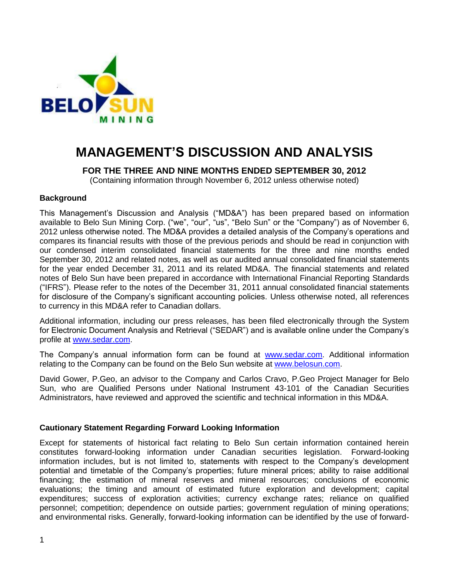

# **MANAGEMENT'S DISCUSSION AND ANALYSIS**

**FOR THE THREE AND NINE MONTHS ENDED SEPTEMBER 30, 2012**

(Containing information through November 6, 2012 unless otherwise noted)

## **Background**

This Management's Discussion and Analysis ("MD&A") has been prepared based on information available to Belo Sun Mining Corp. ("we", "our", "us", "Belo Sun" or the "Company") as of November 6, 2012 unless otherwise noted. The MD&A provides a detailed analysis of the Company's operations and compares its financial results with those of the previous periods and should be read in conjunction with our condensed interim consolidated financial statements for the three and nine months ended September 30, 2012 and related notes, as well as our audited annual consolidated financial statements for the year ended December 31, 2011 and its related MD&A. The financial statements and related notes of Belo Sun have been prepared in accordance with International Financial Reporting Standards ("IFRS"). Please refer to the notes of the December 31, 2011 annual consolidated financial statements for disclosure of the Company's significant accounting policies. Unless otherwise noted, all references to currency in this MD&A refer to Canadian dollars.

Additional information, including our press releases, has been filed electronically through the System for Electronic Document Analysis and Retrieval ("SEDAR") and is available online under the Company's profile at [www.sedar.com.](http://www.sedar.com/)

The Company's annual information form can be found at [www.sedar.com.](http://www.sedar.com/) Additional information relating to the Company can be found on the Belo Sun website at [www.belosun.com.](http://www.belosun.com/)

David Gower, P.Geo, an advisor to the Company and Carlos Cravo, P.Geo Project Manager for Belo Sun, who are Qualified Persons under National Instrument 43-101 of the Canadian Securities Administrators, have reviewed and approved the scientific and technical information in this MD&A.

#### **Cautionary Statement Regarding Forward Looking Information**

Except for statements of historical fact relating to Belo Sun certain information contained herein constitutes forward-looking information under Canadian securities legislation. Forward-looking information includes, but is not limited to, statements with respect to the Company's development potential and timetable of the Company's properties; future mineral prices; ability to raise additional financing; the estimation of mineral reserves and mineral resources; conclusions of economic evaluations; the timing and amount of estimated future exploration and development; capital expenditures; success of exploration activities; currency exchange rates; reliance on qualified personnel; competition; dependence on outside parties; government regulation of mining operations; and environmental risks. Generally, forward-looking information can be identified by the use of forward-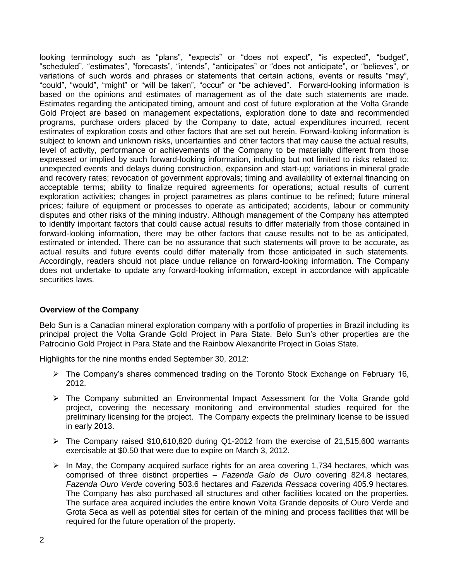looking terminology such as "plans", "expects" or "does not expect", "is expected", "budget", "scheduled", "estimates", "forecasts", "intends", "anticipates" or "does not anticipate", or "believes", or variations of such words and phrases or statements that certain actions, events or results "may", "could", "would", "might" or "will be taken", "occur" or "be achieved". Forward-looking information is based on the opinions and estimates of management as of the date such statements are made. Estimates regarding the anticipated timing, amount and cost of future exploration at the Volta Grande Gold Project are based on management expectations, exploration done to date and recommended programs, purchase orders placed by the Company to date, actual expenditures incurred, recent estimates of exploration costs and other factors that are set out herein. Forward-looking information is subject to known and unknown risks, uncertainties and other factors that may cause the actual results, level of activity, performance or achievements of the Company to be materially different from those expressed or implied by such forward-looking information, including but not limited to risks related to: unexpected events and delays during construction, expansion and start-up; variations in mineral grade and recovery rates; revocation of government approvals; timing and availability of external financing on acceptable terms; ability to finalize required agreements for operations; actual results of current exploration activities; changes in project parametres as plans continue to be refined; future mineral prices; failure of equipment or processes to operate as anticipated; accidents, labour or community disputes and other risks of the mining industry. Although management of the Company has attempted to identify important factors that could cause actual results to differ materially from those contained in forward-looking information, there may be other factors that cause results not to be as anticipated, estimated or intended. There can be no assurance that such statements will prove to be accurate, as actual results and future events could differ materially from those anticipated in such statements. Accordingly, readers should not place undue reliance on forward-looking information. The Company does not undertake to update any forward-looking information, except in accordance with applicable securities laws.

# **Overview of the Company**

Belo Sun is a Canadian mineral exploration company with a portfolio of properties in Brazil including its principal project the Volta Grande Gold Project in Para State. Belo Sun's other properties are the Patrocinio Gold Project in Para State and the Rainbow Alexandrite Project in Goias State.

Highlights for the nine months ended September 30, 2012:

- $\triangleright$  The Company's shares commenced trading on the Toronto Stock Exchange on February 16, 2012.
- $\triangleright$  The Company submitted an Environmental Impact Assessment for the Volta Grande gold project, covering the necessary monitoring and environmental studies required for the preliminary licensing for the project. The Company expects the preliminary license to be issued in early 2013.
- $\triangleright$  The Company raised \$10,610,820 during Q1-2012 from the exercise of 21,515,600 warrants exercisable at \$0.50 that were due to expire on March 3, 2012.
- $\triangleright$  In May, the Company acquired surface rights for an area covering 1,734 hectares, which was comprised of three distinct properties – *Fazenda Galo de Ouro* covering 824.8 hectares, *Fazenda Ouro Verd*e covering 503.6 hectares and *Fazenda Ressaca* covering 405.9 hectares. The Company has also purchased all structures and other facilities located on the properties. The surface area acquired includes the entire known Volta Grande deposits of Ouro Verde and Grota Seca as well as potential sites for certain of the mining and process facilities that will be required for the future operation of the property.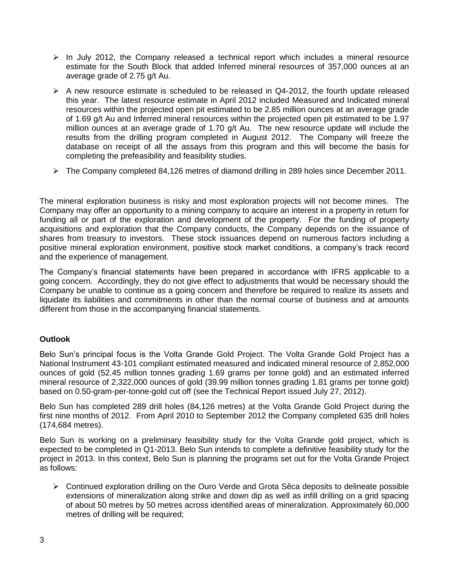- $\triangleright$  In July 2012, the Company released a technical report which includes a mineral resource estimate for the South Block that added Inferred mineral resources of 357,000 ounces at an average grade of 2.75 g/t Au.
- $\triangleright$  A new resource estimate is scheduled to be released in Q4-2012, the fourth update released this year. The latest resource estimate in April 2012 included Measured and Indicated mineral resources within the projected open pit estimated to be 2.85 million ounces at an average grade of 1.69 g/t Au and Inferred mineral resources within the projected open pit estimated to be 1.97 million ounces at an average grade of 1.70 g/t Au. The new resource update will include the results from the drilling program completed in August 2012. The Company will freeze the database on receipt of all the assays from this program and this will become the basis for completing the prefeasibility and feasibility studies.
- The Company completed 84,126 metres of diamond drilling in 289 holes since December 2011.

The mineral exploration business is risky and most exploration projects will not become mines. The Company may offer an opportunity to a mining company to acquire an interest in a property in return for funding all or part of the exploration and development of the property. For the funding of property acquisitions and exploration that the Company conducts, the Company depends on the issuance of shares from treasury to investors. These stock issuances depend on numerous factors including a positive mineral exploration environment, positive stock market conditions, a company's track record and the experience of management.

The Company's financial statements have been prepared in accordance with IFRS applicable to a going concern. Accordingly, they do not give effect to adjustments that would be necessary should the Company be unable to continue as a going concern and therefore be required to realize its assets and liquidate its liabilities and commitments in other than the normal course of business and at amounts different from those in the accompanying financial statements.

# **Outlook**

Belo Sun's principal focus is the Volta Grande Gold Project. The Volta Grande Gold Project has a National Instrument 43-101 compliant estimated measured and indicated mineral resource of 2,852,000 ounces of gold (52.45 million tonnes grading 1.69 grams per tonne gold) and an estimated inferred mineral resource of 2,322,000 ounces of gold (39.99 million tonnes grading 1.81 grams per tonne gold) based on 0.50-gram-per-tonne-gold cut off (see the Technical Report issued July 27, 2012).

Belo Sun has completed 289 drill holes (84,126 metres) at the Volta Grande Gold Project during the first nine months of 2012. From April 2010 to September 2012 the Company completed 635 drill holes (174,684 metres).

Belo Sun is working on a preliminary feasibility study for the Volta Grande gold project, which is expected to be completed in Q1-2013. Belo Sun intends to complete a definitive feasibility study for the project in 2013. In this context, Belo Sun is planning the programs set out for the Volta Grande Project as follows:

 $\triangleright$  Continued exploration drilling on the Ouro Verde and Grota Sêca deposits to delineate possible extensions of mineralization along strike and down dip as well as infill drilling on a grid spacing of about 50 metres by 50 metres across identified areas of mineralization. Approximately 60,000 metres of drilling will be required;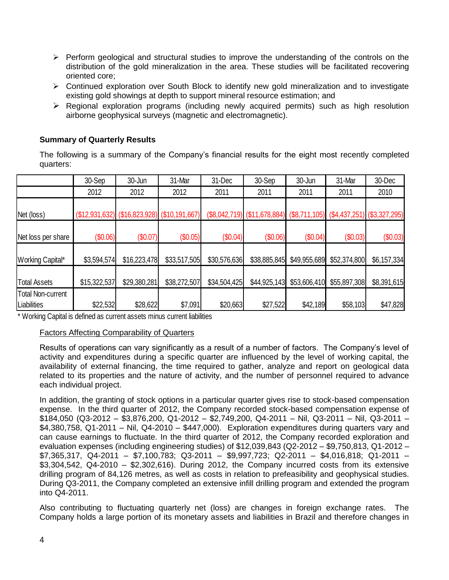- $\triangleright$  Perform geological and structural studies to improve the understanding of the controls on the distribution of the gold mineralization in the area. These studies will be facilitated recovering oriented core;
- $\triangleright$  Continued exploration over South Block to identify new gold mineralization and to investigate existing gold showings at depth to support mineral resource estimation; and
- Regional exploration programs (including newly acquired permits) such as high resolution airborne geophysical surveys (magnetic and electromagnetic).

# **Summary of Quarterly Results**

The following is a summary of the Company's financial results for the eight most recently completed quarters:

|                                  | 30-Sep       | 30-Jun       | 31-Mar                                             | 31-Dec       | 30-Sep                                                                           | 30-Jun       | 31-Mar       | 30-Dec      |
|----------------------------------|--------------|--------------|----------------------------------------------------|--------------|----------------------------------------------------------------------------------|--------------|--------------|-------------|
|                                  | 2012         | 2012         | 2012                                               | 2011         | 2011                                                                             | 2011         | 2011         | 2010        |
| Net (loss)                       |              |              | $( $12,931,632)$ $( $16,823,928)$ $( $10,191,667)$ |              | $(\$8,042,719)$ $(\$11,678,884)$ $(\$8,711,105)$ $(\$4,437,251)$ $(\$3,327,295)$ |              |              |             |
| Net loss per share               | (\$0.06)     | (\$0.07)     | (\$0.05)                                           | (\$0.04)     | (\$0.06)                                                                         | (\$0.04)     | (\$0.03)     | (\$0.03)    |
| Working Capital*                 | \$3,594,574  | \$16,223,478 | \$33,517,505                                       | \$30,576,636 | \$38,885,845                                                                     | \$49,955,689 | \$52,374,800 | \$6,157,334 |
| <b>Total Assets</b>              | \$15,322,537 | \$29,380,281 | \$38,272,507                                       | \$34,504,425 | \$44,925,143                                                                     | \$53,606,410 | \$55,897,308 | \$8,391,615 |
| Total Non-current<br>Liabilities | \$22,532     | \$28,622     | \$7,091                                            | \$20,663     | \$27,522                                                                         | \$42,189     | \$58,103     | \$47,828    |

\* Working Capital is defined as current assets minus current liabilities

#### Factors Affecting Comparability of Quarters

Results of operations can vary significantly as a result of a number of factors. The Company's level of activity and expenditures during a specific quarter are influenced by the level of working capital, the availability of external financing, the time required to gather, analyze and report on geological data related to its properties and the nature of activity, and the number of personnel required to advance each individual project.

In addition, the granting of stock options in a particular quarter gives rise to stock-based compensation expense. In the third quarter of 2012, the Company recorded stock-based compensation expense of \$184,050 (Q3-2012 – \$3,876,200, Q1-2012 – \$2,749,200, Q4-2011 – Nil, Q3-2011 – Nil, Q3-2011 – \$4,380,758, Q1-2011 – Nil, Q4-2010 – \$447,000). Exploration expenditures during quarters vary and can cause earnings to fluctuate. In the third quarter of 2012, the Company recorded exploration and evaluation expenses (including engineering studies) of \$12,039,843 (Q2-2012 – \$9,750,813, Q1-2012 – \$7,365,317, Q4-2011 – \$7,100,783; Q3-2011 – \$9,997,723; Q2-2011 – \$4,016,818; Q1-2011 – \$3,304,542, Q4-2010 – \$2,302,616). During 2012, the Company incurred costs from its extensive drilling program of 84,126 metres, as well as costs in relation to prefeasibility and geophysical studies. During Q3-2011, the Company completed an extensive infill drilling program and extended the program into Q4-2011.

Also contributing to fluctuating quarterly net (loss) are changes in foreign exchange rates. The Company holds a large portion of its monetary assets and liabilities in Brazil and therefore changes in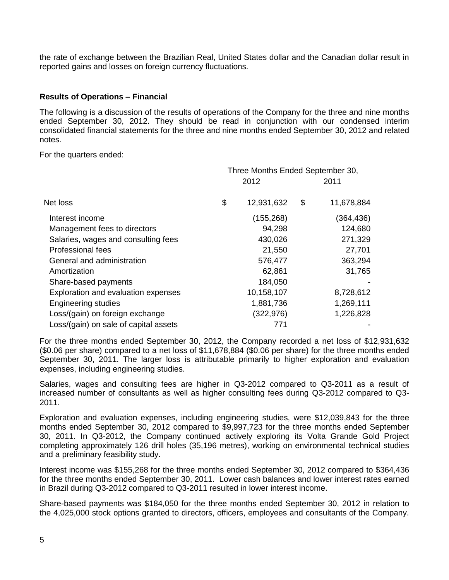the rate of exchange between the Brazilian Real, United States dollar and the Canadian dollar result in reported gains and losses on foreign currency fluctuations.

## **Results of Operations – Financial**

The following is a discussion of the results of operations of the Company for the three and nine months ended September 30, 2012. They should be read in conjunction with our condensed interim consolidated financial statements for the three and nine months ended September 30, 2012 and related notes.

For the quarters ended:

|                                       | Three Months Ended September 30, |            |    |            |
|---------------------------------------|----------------------------------|------------|----|------------|
|                                       |                                  | 2012       |    | 2011       |
| Net loss                              | \$                               | 12,931,632 | \$ | 11,678,884 |
| Interest income                       |                                  | (155, 268) |    | (364,436)  |
| Management fees to directors          |                                  | 94,298     |    | 124,680    |
| Salaries, wages and consulting fees   |                                  | 430,026    |    | 271,329    |
| Professional fees                     |                                  | 21,550     |    | 27,701     |
| General and administration            |                                  | 576,477    |    | 363,294    |
| Amortization                          |                                  | 62,861     |    | 31,765     |
| Share-based payments                  |                                  | 184,050    |    |            |
| Exploration and evaluation expenses   |                                  | 10,158,107 |    | 8,728,612  |
| <b>Engineering studies</b>            |                                  | 1,881,736  |    | 1,269,111  |
| Loss/(gain) on foreign exchange       |                                  | (322,976)  |    | 1,226,828  |
| Loss/(gain) on sale of capital assets |                                  | 771        |    |            |

For the three months ended September 30, 2012, the Company recorded a net loss of \$12,931,632 (\$0.06 per share) compared to a net loss of \$11,678,884 (\$0.06 per share) for the three months ended September 30, 2011. The larger loss is attributable primarily to higher exploration and evaluation expenses, including engineering studies.

Salaries, wages and consulting fees are higher in Q3-2012 compared to Q3-2011 as a result of increased number of consultants as well as higher consulting fees during Q3-2012 compared to Q3- 2011.

Exploration and evaluation expenses, including engineering studies, were \$12,039,843 for the three months ended September 30, 2012 compared to \$9,997,723 for the three months ended September 30, 2011. In Q3-2012, the Company continued actively exploring its Volta Grande Gold Project completing approximately 126 drill holes (35,196 metres), working on environmental technical studies and a preliminary feasibility study.

Interest income was \$155,268 for the three months ended September 30, 2012 compared to \$364,436 for the three months ended September 30, 2011. Lower cash balances and lower interest rates earned in Brazil during Q3-2012 compared to Q3-2011 resulted in lower interest income.

Share-based payments was \$184,050 for the three months ended September 30, 2012 in relation to the 4,025,000 stock options granted to directors, officers, employees and consultants of the Company.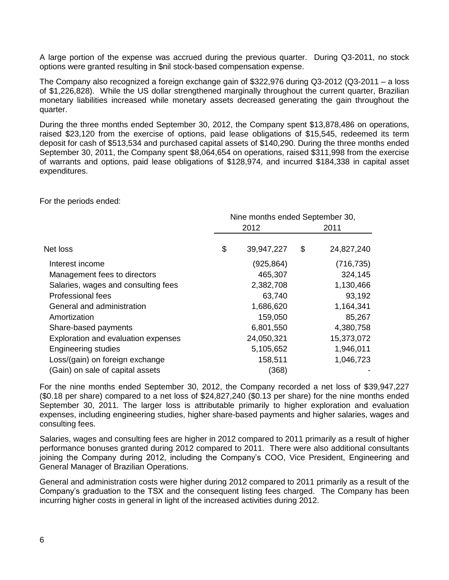A large portion of the expense was accrued during the previous quarter. During Q3-2011, no stock options were granted resulting in \$nil stock-based compensation expense.

The Company also recognized a foreign exchange gain of \$322,976 during Q3-2012 (Q3-2011 – a loss of \$1,226,828). While the US dollar strengthened marginally throughout the current quarter, Brazilian monetary liabilities increased while monetary assets decreased generating the gain throughout the quarter.

During the three months ended September 30, 2012, the Company spent \$13,878,486 on operations, raised \$23,120 from the exercise of options, paid lease obligations of \$15,545, redeemed its term deposit for cash of \$513,534 and purchased capital assets of \$140,290. During the three months ended September 30, 2011, the Company spent \$8,064,654 on operations, raised \$311,998 from the exercise of warrants and options, paid lease obligations of \$128,974, and incurred \$184,338 in capital asset expenditures.

For the periods ended:

|                                     |      | Nine months ended September 30, |    |            |  |
|-------------------------------------|------|---------------------------------|----|------------|--|
|                                     | 2012 |                                 |    | 2011       |  |
| Net loss                            | \$   | 39,947,227                      | \$ | 24,827,240 |  |
| Interest income                     |      | (925,864)                       |    | (716, 735) |  |
| Management fees to directors        |      | 465,307                         |    | 324,145    |  |
| Salaries, wages and consulting fees |      | 2,382,708                       |    | 1,130,466  |  |
| <b>Professional fees</b>            |      | 63,740                          |    | 93,192     |  |
| General and administration          |      | 1,686,620                       |    | 1,164,341  |  |
| Amortization                        |      | 159,050                         |    | 85,267     |  |
| Share-based payments                |      | 6,801,550                       |    | 4,380,758  |  |
| Exploration and evaluation expenses |      | 24,050,321                      |    | 15,373,072 |  |
| <b>Engineering studies</b>          |      | 5,105,652                       |    | 1,946,011  |  |
| Loss/(gain) on foreign exchange     |      | 158,511                         |    | 1,046,723  |  |
| (Gain) on sale of capital assets    |      | (368)                           |    |            |  |

For the nine months ended September 30, 2012, the Company recorded a net loss of \$39,947,227 (\$0.18 per share) compared to a net loss of \$24,827,240 (\$0.13 per share) for the nine months ended September 30, 2011. The larger loss is attributable primarily to higher exploration and evaluation expenses, including engineering studies, higher share-based payments and higher salaries, wages and consulting fees.

Salaries, wages and consulting fees are higher in 2012 compared to 2011 primarily as a result of higher performance bonuses granted during 2012 compared to 2011. There were also additional consultants joining the Company during 2012, including the Company's COO, Vice President, Engineering and General Manager of Brazilian Operations.

General and administration costs were higher during 2012 compared to 2011 primarily as a result of the Company's graduation to the TSX and the consequent listing fees charged. The Company has been incurring higher costs in general in light of the increased activities during 2012.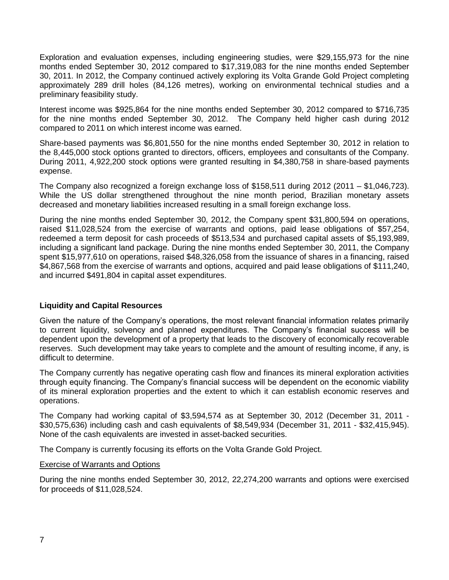Exploration and evaluation expenses, including engineering studies, were \$29,155,973 for the nine months ended September 30, 2012 compared to \$17,319,083 for the nine months ended September 30, 2011. In 2012, the Company continued actively exploring its Volta Grande Gold Project completing approximately 289 drill holes (84,126 metres), working on environmental technical studies and a preliminary feasibility study.

Interest income was \$925,864 for the nine months ended September 30, 2012 compared to \$716,735 for the nine months ended September 30, 2012. The Company held higher cash during 2012 compared to 2011 on which interest income was earned.

Share-based payments was \$6,801,550 for the nine months ended September 30, 2012 in relation to the 8,445,000 stock options granted to directors, officers, employees and consultants of the Company. During 2011, 4,922,200 stock options were granted resulting in \$4,380,758 in share-based payments expense.

The Company also recognized a foreign exchange loss of \$158,511 during 2012 (2011 – \$1,046,723). While the US dollar strengthened throughout the nine month period, Brazilian monetary assets decreased and monetary liabilities increased resulting in a small foreign exchange loss.

During the nine months ended September 30, 2012, the Company spent \$31,800,594 on operations, raised \$11,028,524 from the exercise of warrants and options, paid lease obligations of \$57,254, redeemed a term deposit for cash proceeds of \$513,534 and purchased capital assets of \$5,193,989, including a significant land package. During the nine months ended September 30, 2011, the Company spent \$15,977,610 on operations, raised \$48,326,058 from the issuance of shares in a financing, raised \$4,867,568 from the exercise of warrants and options, acquired and paid lease obligations of \$111,240, and incurred \$491,804 in capital asset expenditures.

# **Liquidity and Capital Resources**

Given the nature of the Company's operations, the most relevant financial information relates primarily to current liquidity, solvency and planned expenditures. The Company's financial success will be dependent upon the development of a property that leads to the discovery of economically recoverable reserves. Such development may take years to complete and the amount of resulting income, if any, is difficult to determine.

The Company currently has negative operating cash flow and finances its mineral exploration activities through equity financing. The Company's financial success will be dependent on the economic viability of its mineral exploration properties and the extent to which it can establish economic reserves and operations.

The Company had working capital of \$3,594,574 as at September 30, 2012 (December 31, 2011 - \$30,575,636) including cash and cash equivalents of \$8,549,934 (December 31, 2011 - \$32,415,945). None of the cash equivalents are invested in asset-backed securities.

The Company is currently focusing its efforts on the Volta Grande Gold Project.

# Exercise of Warrants and Options

During the nine months ended September 30, 2012, 22,274,200 warrants and options were exercised for proceeds of \$11,028,524.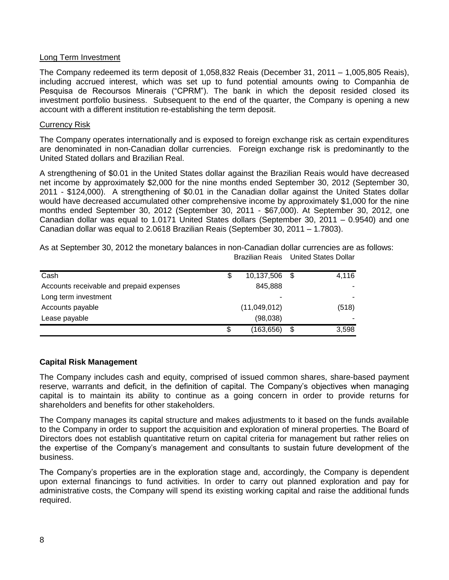## Long Term Investment

The Company redeemed its term deposit of 1,058,832 Reais (December 31, 2011 – 1,005,805 Reais), including accrued interest, which was set up to fund potential amounts owing to Companhia de Pesquisa de Recoursos Minerais ("CPRM"). The bank in which the deposit resided closed its investment portfolio business. Subsequent to the end of the quarter, the Company is opening a new account with a different institution re-establishing the term deposit.

#### Currency Risk

The Company operates internationally and is exposed to foreign exchange risk as certain expenditures are denominated in non-Canadian dollar currencies. Foreign exchange risk is predominantly to the United Stated dollars and Brazilian Real.

A strengthening of \$0.01 in the United States dollar against the Brazilian Reais would have decreased net income by approximately \$2,000 for the nine months ended September 30, 2012 (September 30, 2011 - \$124,000). A strengthening of \$0.01 in the Canadian dollar against the United States dollar would have decreased accumulated other comprehensive income by approximately \$1,000 for the nine months ended September 30, 2012 (September 30, 2011 - \$67,000). At September 30, 2012, one Canadian dollar was equal to 1.0171 United States dollars (September 30, 2011 – 0.9540) and one Canadian dollar was equal to 2.0618 Brazilian Reais (September 30, 2011 – 1.7803).

As at September 30, 2012 the monetary balances in non-Canadian dollar currencies are as follows: Brazilian Reais United States Dollar

| Cash                                     | S  | 10,137,506 \$ | 4,116       |
|------------------------------------------|----|---------------|-------------|
| Accounts receivable and prepaid expenses |    | 845,888       |             |
| Long term investment                     |    | -             |             |
| Accounts payable                         |    | (11,049,012)  | (518)       |
| Lease payable                            |    | (98,038)      |             |
|                                          | \$ | (163,656)     | \$<br>3,598 |

# **Capital Risk Management**

The Company includes cash and equity, comprised of issued common shares, share-based payment reserve, warrants and deficit, in the definition of capital. The Company's objectives when managing capital is to maintain its ability to continue as a going concern in order to provide returns for shareholders and benefits for other stakeholders.

The Company manages its capital structure and makes adjustments to it based on the funds available to the Company in order to support the acquisition and exploration of mineral properties. The Board of Directors does not establish quantitative return on capital criteria for management but rather relies on the expertise of the Company's management and consultants to sustain future development of the business.

The Company's properties are in the exploration stage and, accordingly, the Company is dependent upon external financings to fund activities. In order to carry out planned exploration and pay for administrative costs, the Company will spend its existing working capital and raise the additional funds required.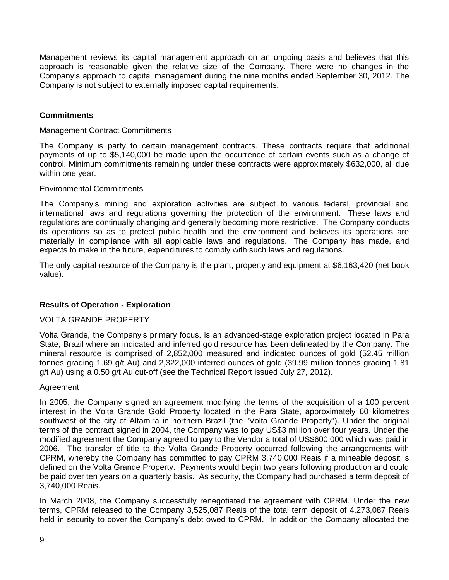Management reviews its capital management approach on an ongoing basis and believes that this approach is reasonable given the relative size of the Company. There were no changes in the Company's approach to capital management during the nine months ended September 30, 2012. The Company is not subject to externally imposed capital requirements.

# **Commitments**

#### Management Contract Commitments

The Company is party to certain management contracts. These contracts require that additional payments of up to \$5,140,000 be made upon the occurrence of certain events such as a change of control. Minimum commitments remaining under these contracts were approximately \$632,000, all due within one year.

## Environmental Commitments

The Company's mining and exploration activities are subject to various federal, provincial and international laws and regulations governing the protection of the environment. These laws and regulations are continually changing and generally becoming more restrictive. The Company conducts its operations so as to protect public health and the environment and believes its operations are materially in compliance with all applicable laws and regulations. The Company has made, and expects to make in the future, expenditures to comply with such laws and regulations.

The only capital resource of the Company is the plant, property and equipment at \$6,163,420 (net book value).

# **Results of Operation - Exploration**

# VOLTA GRANDE PROPERTY

Volta Grande, the Company's primary focus, is an advanced-stage exploration project located in Para State, Brazil where an indicated and inferred gold resource has been delineated by the Company. The mineral resource is comprised of 2,852,000 measured and indicated ounces of gold (52.45 million tonnes grading 1.69 g/t Au) and 2,322,000 inferred ounces of gold (39.99 million tonnes grading 1.81 g/t Au) using a 0.50 g/t Au cut-off (see the Technical Report issued July 27, 2012).

#### Agreement

In 2005, the Company signed an agreement modifying the terms of the acquisition of a 100 percent interest in the Volta Grande Gold Property located in the Para State, approximately 60 kilometres southwest of the city of Altamira in northern Brazil (the "Volta Grande Property"). Under the original terms of the contract signed in 2004, the Company was to pay US\$3 million over four years. Under the modified agreement the Company agreed to pay to the Vendor a total of US\$600,000 which was paid in 2006. The transfer of title to the Volta Grande Property occurred following the arrangements with CPRM, whereby the Company has committed to pay CPRM 3,740,000 Reais if a mineable deposit is defined on the Volta Grande Property. Payments would begin two years following production and could be paid over ten years on a quarterly basis. As security, the Company had purchased a term deposit of 3,740,000 Reais.

In March 2008, the Company successfully renegotiated the agreement with CPRM. Under the new terms, CPRM released to the Company 3,525,087 Reais of the total term deposit of 4,273,087 Reais held in security to cover the Company's debt owed to CPRM. In addition the Company allocated the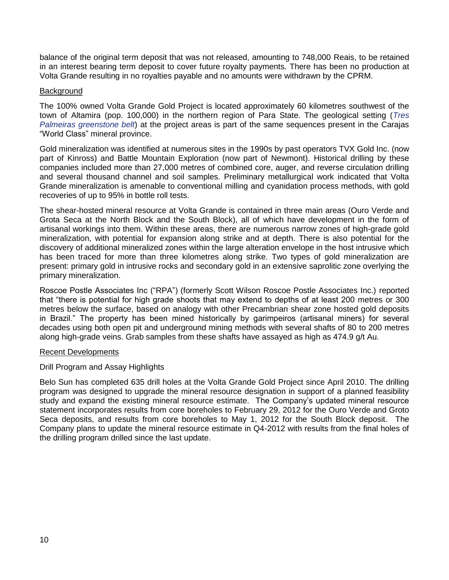balance of the original term deposit that was not released, amounting to 748,000 Reais, to be retained in an interest bearing term deposit to cover future royalty payments. There has been no production at Volta Grande resulting in no royalties payable and no amounts were withdrawn by the CPRM.

## **Background**

The 100% owned Volta Grande Gold Project is located approximately 60 kilometres southwest of the town of Altamira (pop. 100,000) in the northern region of Para State. The geological setting (*Tres Palmeiras greenstone belt*) at the project areas is part of the same sequences present in the Carajas "World Class" mineral province.

Gold mineralization was identified at numerous sites in the 1990s by past operators TVX Gold Inc. (now part of Kinross) and Battle Mountain Exploration (now part of Newmont). Historical drilling by these companies included more than 27,000 metres of combined core, auger, and reverse circulation drilling and several thousand channel and soil samples. Preliminary metallurgical work indicated that Volta Grande mineralization is amenable to conventional milling and cyanidation process methods, with gold recoveries of up to 95% in bottle roll tests.

The shear-hosted mineral resource at Volta Grande is contained in three main areas (Ouro Verde and Grota Seca at the North Block and the South Block), all of which have development in the form of artisanal workings into them. Within these areas, there are numerous narrow zones of high-grade gold mineralization, with potential for expansion along strike and at depth. There is also potential for the discovery of additional mineralized zones within the large alteration envelope in the host intrusive which has been traced for more than three kilometres along strike. Two types of gold mineralization are present: primary gold in intrusive rocks and secondary gold in an extensive saprolitic zone overlying the primary mineralization.

Roscoe Postle Associates Inc ("RPA") (formerly Scott Wilson Roscoe Postle Associates Inc.) reported that "there is potential for high grade shoots that may extend to depths of at least 200 metres or 300 metres below the surface, based on analogy with other Precambrian shear zone hosted gold deposits in Brazil." The property has been mined historically by garimpeiros (artisanal miners) for several decades using both open pit and underground mining methods with several shafts of 80 to 200 metres along high-grade veins. Grab samples from these shafts have assayed as high as 474.9 g/t Au.

#### Recent Developments

# Drill Program and Assay Highlights

Belo Sun has completed 635 drill holes at the Volta Grande Gold Project since April 2010. The drilling program was designed to upgrade the mineral resource designation in support of a planned feasibility study and expand the existing mineral resource estimate. The Company's updated mineral resource statement incorporates results from core boreholes to February 29, 2012 for the Ouro Verde and Groto Seca deposits, and results from core boreholes to May 1, 2012 for the South Block deposit. The Company plans to update the mineral resource estimate in Q4-2012 with results from the final holes of the drilling program drilled since the last update.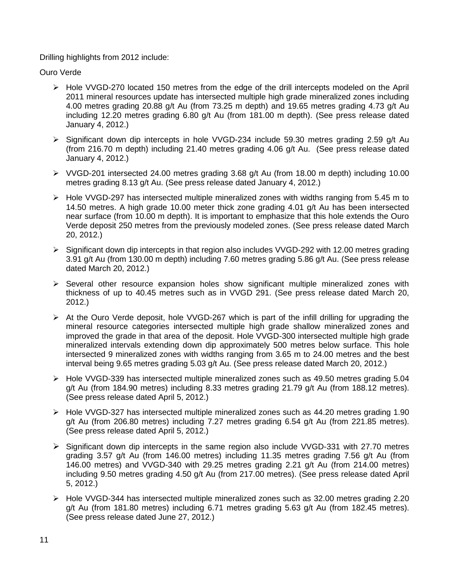# Drilling highlights from 2012 include:

Ouro Verde

- Hole VVGD-270 located 150 metres from the edge of the drill intercepts modeled on the April 2011 mineral resources update has intersected multiple high grade mineralized zones including 4.00 metres grading 20.88 g/t Au (from 73.25 m depth) and 19.65 metres grading 4.73 g/t Au including 12.20 metres grading 6.80 g/t Au (from 181.00 m depth). (See press release dated January 4, 2012.)
- $\triangleright$  Significant down dip intercepts in hole VVGD-234 include 59.30 metres grading 2.59 g/t Au (from 216.70 m depth) including 21.40 metres grading 4.06 g/t Au. (See press release dated January 4, 2012.)
- VVGD-201 intersected 24.00 metres grading 3.68 g/t Au (from 18.00 m depth) including 10.00 metres grading 8.13 g/t Au. (See press release dated January 4, 2012.)
- $\triangleright$  Hole VVGD-297 has intersected multiple mineralized zones with widths ranging from 5.45 m to 14.50 metres. A high grade 10.00 meter thick zone grading 4.01 g/t Au has been intersected near surface (from 10.00 m depth). It is important to emphasize that this hole extends the Ouro Verde deposit 250 metres from the previously modeled zones. (See press release dated March 20, 2012.)
- Significant down dip intercepts in that region also includes VVGD-292 with 12.00 metres grading 3.91 g/t Au (from 130.00 m depth) including 7.60 metres grading 5.86 g/t Au. (See press release dated March 20, 2012.)
- $\triangleright$  Several other resource expansion holes show significant multiple mineralized zones with thickness of up to 40.45 metres such as in VVGD 291. (See press release dated March 20, 2012.)
- $\triangleright$  At the Ouro Verde deposit, hole VVGD-267 which is part of the infill drilling for upgrading the mineral resource categories intersected multiple high grade shallow mineralized zones and improved the grade in that area of the deposit. Hole VVGD-300 intersected multiple high grade mineralized intervals extending down dip approximately 500 metres below surface. This hole intersected 9 mineralized zones with widths ranging from 3.65 m to 24.00 metres and the best interval being 9.65 metres grading 5.03 g/t Au. (See press release dated March 20, 2012.)
- $\triangleright$  Hole VVGD-339 has intersected multiple mineralized zones such as 49.50 metres grading 5.04 g/t Au (from 184.90 metres) including 8.33 metres grading 21.79 g/t Au (from 188.12 metres). (See press release dated April 5, 2012.)
- $\triangleright$  Hole VVGD-327 has intersected multiple mineralized zones such as 44.20 metres grading 1.90 g/t Au (from 206.80 metres) including 7.27 metres grading 6.54 g/t Au (from 221.85 metres). (See press release dated April 5, 2012.)
- $\triangleright$  Significant down dip intercepts in the same region also include VVGD-331 with 27.70 metres grading 3.57 g/t Au (from 146.00 metres) including 11.35 metres grading 7.56 g/t Au (from 146.00 metres) and VVGD-340 with 29.25 metres grading 2.21 g/t Au (from 214.00 metres) including 9.50 metres grading 4.50 g/t Au (from 217.00 metres). (See press release dated April 5, 2012.)
- Hole VVGD-344 has intersected multiple mineralized zones such as 32.00 metres grading 2.20 g/t Au (from 181.80 metres) including 6.71 metres grading 5.63 g/t Au (from 182.45 metres). (See press release dated June 27, 2012.)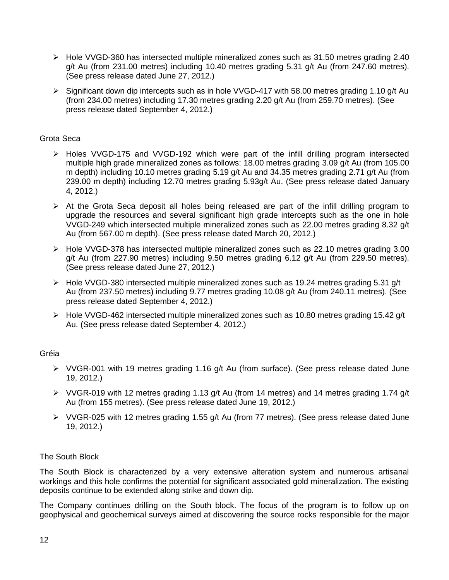- Hole VVGD-360 has intersected multiple mineralized zones such as 31.50 metres grading 2.40 g/t Au (from 231.00 metres) including 10.40 metres grading 5.31 g/t Au (from 247.60 metres). (See press release dated June 27, 2012.)
- $\triangleright$  Significant down dip intercepts such as in hole VVGD-417 with 58.00 metres grading 1.10 g/t Au (from 234.00 metres) including 17.30 metres grading 2.20 g/t Au (from 259.70 metres). (See press release dated September 4, 2012.)

## Grota Seca

- Holes VVGD-175 and VVGD-192 which were part of the infill drilling program intersected multiple high grade mineralized zones as follows: 18.00 metres grading 3.09 g/t Au (from 105.00 m depth) including 10.10 metres grading 5.19 g/t Au and 34.35 metres grading 2.71 g/t Au (from 239.00 m depth) including 12.70 metres grading 5.93g/t Au. (See press release dated January 4, 2012.)
- $\triangleright$  At the Grota Seca deposit all holes being released are part of the infill drilling program to upgrade the resources and several significant high grade intercepts such as the one in hole VVGD-249 which intersected multiple mineralized zones such as 22.00 metres grading 8.32 g/t Au (from 567.00 m depth). (See press release dated March 20, 2012.)
- $\triangleright$  Hole VVGD-378 has intersected multiple mineralized zones such as 22.10 metres grading 3.00 g/t Au (from 227.90 metres) including 9.50 metres grading 6.12 g/t Au (from 229.50 metres). (See press release dated June 27, 2012.)
- $\triangleright$  Hole VVGD-380 intersected multiple mineralized zones such as 19.24 metres grading 5.31 g/t Au (from 237.50 metres) including 9.77 metres grading 10.08 g/t Au (from 240.11 metres). (See press release dated September 4, 2012.)
- $\triangleright$  Hole VVGD-462 intersected multiple mineralized zones such as 10.80 metres grading 15.42 g/t Au. (See press release dated September 4, 2012.)

# Gréia

- $\triangleright$  VVGR-001 with 19 metres grading 1.16 g/t Au (from surface). (See press release dated June 19, 2012.)
- $\triangleright$  VVGR-019 with 12 metres grading 1.13 g/t Au (from 14 metres) and 14 metres grading 1.74 g/t Au (from 155 metres). (See press release dated June 19, 2012.)
- $\triangleright$  VVGR-025 with 12 metres grading 1.55 g/t Au (from 77 metres). (See press release dated June 19, 2012.)

# The South Block

The South Block is characterized by a very extensive alteration system and numerous artisanal workings and this hole confirms the potential for significant associated gold mineralization. The existing deposits continue to be extended along strike and down dip.

The Company continues drilling on the South block. The focus of the program is to follow up on geophysical and geochemical surveys aimed at discovering the source rocks responsible for the major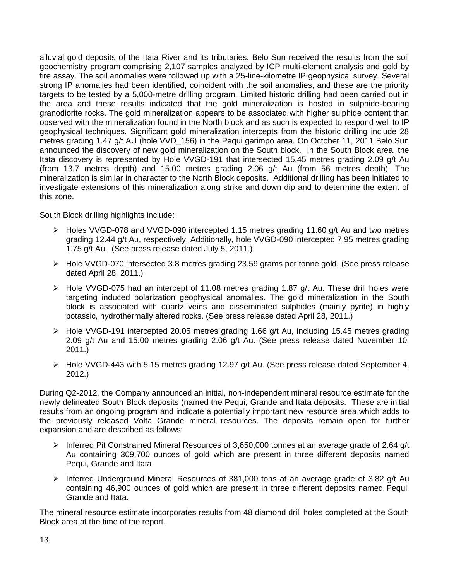alluvial gold deposits of the Itata River and its tributaries. Belo Sun received the results from the soil geochemistry program comprising 2,107 samples analyzed by ICP multi-element analysis and gold by fire assay. The soil anomalies were followed up with a 25-line-kilometre IP geophysical survey. Several strong IP anomalies had been identified, coincident with the soil anomalies, and these are the priority targets to be tested by a 5,000-metre drilling program. Limited historic drilling had been carried out in the area and these results indicated that the gold mineralization is hosted in sulphide-bearing granodiorite rocks. The gold mineralization appears to be associated with higher sulphide content than observed with the mineralization found in the North block and as such is expected to respond well to IP geophysical techniques. Significant gold mineralization intercepts from the historic drilling include 28 metres grading 1.47 g/t AU (hole VVD\_156) in the Pequi garimpo area. On October 11, 2011 Belo Sun announced the discovery of new gold mineralization on the South block. In the South Block area, the Itata discovery is represented by Hole VVGD-191 that intersected 15.45 metres grading 2.09 g/t Au (from 13.7 metres depth) and 15.00 metres grading 2.06 g/t Au (from 56 metres depth). The mineralization is similar in character to the North Block deposits. Additional drilling has been initiated to investigate extensions of this mineralization along strike and down dip and to determine the extent of this zone.

South Block drilling highlights include:

- $\triangleright$  Holes VVGD-078 and VVGD-090 intercepted 1.15 metres grading 11.60 g/t Au and two metres grading 12.44 g/t Au, respectively. Additionally, hole VVGD-090 intercepted 7.95 metres grading 1.75 g/t Au. (See press release dated July 5, 2011.)
- $\triangleright$  Hole VVGD-070 intersected 3.8 metres grading 23.59 grams per tonne gold. (See press release dated April 28, 2011.)
- $\triangleright$  Hole VVGD-075 had an intercept of 11.08 metres grading 1.87 g/t Au. These drill holes were targeting induced polarization geophysical anomalies. The gold mineralization in the South block is associated with quartz veins and disseminated sulphides (mainly pyrite) in highly potassic, hydrothermally altered rocks. (See press release dated April 28, 2011.)
- $\triangleright$  Hole VVGD-191 intercepted 20.05 metres grading 1.66 g/t Au, including 15.45 metres grading 2.09 g/t Au and 15.00 metres grading 2.06 g/t Au. (See press release dated November 10, 2011.)
- $\triangleright$  Hole VVGD-443 with 5.15 metres grading 12.97 g/t Au. (See press release dated September 4, 2012.)

During Q2-2012, the Company announced an initial, non-independent mineral resource estimate for the newly delineated South Block deposits (named the Pequi, Grande and Itata deposits. These are initial results from an ongoing program and indicate a potentially important new resource area which adds to the previously released Volta Grande mineral resources. The deposits remain open for further expansion and are described as follows:

- $\triangleright$  Inferred Pit Constrained Mineral Resources of 3,650,000 tonnes at an average grade of 2.64 g/t Au containing 309,700 ounces of gold which are present in three different deposits named Pequi, Grande and Itata.
- $\triangleright$  Inferred Underground Mineral Resources of 381,000 tons at an average grade of 3.82 g/t Au containing 46,900 ounces of gold which are present in three different deposits named Pequi, Grande and Itata.

The mineral resource estimate incorporates results from 48 diamond drill holes completed at the South Block area at the time of the report.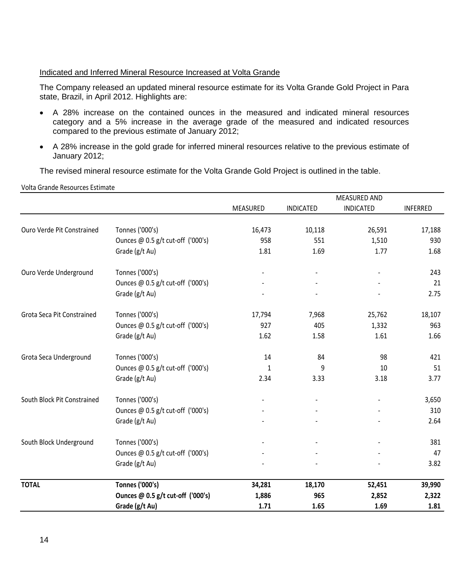# Indicated and Inferred Mineral Resource Increased at Volta Grande

The Company released an updated mineral resource estimate for its Volta Grande Gold Project in Para state, Brazil, in April 2012. Highlights are:

- A 28% increase on the contained ounces in the measured and indicated mineral resources category and a 5% increase in the average grade of the measured and indicated resources compared to the previous estimate of January 2012;
- A 28% increase in the gold grade for inferred mineral resources relative to the previous estimate of January 2012;

The revised mineral resource estimate for the Volta Grande Gold Project is outlined in the table.

Volta Grande Resources Estimate

|                             |                                   | MEASURED AND |                  |                  |                 |  |
|-----------------------------|-----------------------------------|--------------|------------------|------------------|-----------------|--|
|                             |                                   | MEASURED     | <b>INDICATED</b> | <b>INDICATED</b> | <b>INFERRED</b> |  |
|                             |                                   |              |                  |                  |                 |  |
| Ouro Verde Pit Constrained  | Tonnes ('000's)                   | 16,473       | 10,118           | 26,591           | 17,188          |  |
|                             | Ounces @ 0.5 g/t cut-off ('000's) | 958          | 551              | 1,510            | 930             |  |
|                             | Grade (g/t Au)                    | 1.81         | 1.69             | 1.77             | 1.68            |  |
| Ouro Verde Underground      | Tonnes ('000's)                   |              |                  |                  | 243             |  |
|                             | Ounces @ 0.5 g/t cut-off ('000's) |              |                  |                  | 21              |  |
|                             | Grade (g/t Au)                    |              |                  |                  | 2.75            |  |
| Grota Seca Pit Constrained  | Tonnes ('000's)                   | 17,794       | 7,968            | 25,762           | 18,107          |  |
|                             | Ounces @ 0.5 g/t cut-off ('000's) | 927          | 405              | 1,332            | 963             |  |
|                             | Grade (g/t Au)                    | 1.62         | 1.58             | 1.61             | 1.66            |  |
| Grota Seca Underground      | Tonnes ('000's)                   | 14           | 84               | 98               | 421             |  |
|                             | Ounces @ 0.5 g/t cut-off ('000's) | $\mathbf{1}$ | 9                | $10$             | 51              |  |
|                             | Grade (g/t Au)                    | 2.34         | 3.33             | 3.18             | 3.77            |  |
| South Block Pit Constrained | Tonnes ('000's)                   |              |                  |                  | 3,650           |  |
|                             | Ounces @ 0.5 g/t cut-off ('000's) |              |                  |                  | 310             |  |
|                             | Grade (g/t Au)                    |              |                  |                  | 2.64            |  |
| South Block Underground     | Tonnes ('000's)                   |              |                  |                  | 381             |  |
|                             | Ounces @ 0.5 g/t cut-off ('000's) |              |                  |                  | 47              |  |
|                             | Grade (g/t Au)                    |              |                  |                  | 3.82            |  |
| <b>TOTAL</b>                | <b>Tonnes ('000's)</b>            | 34,281       | 18,170           | 52,451           | 39,990          |  |
|                             | Ounces @ 0.5 g/t cut-off ('000's) | 1,886        | 965              | 2,852            | 2,322           |  |
|                             | Grade (g/t Au)                    | 1.71         | 1.65             | 1.69             | 1.81            |  |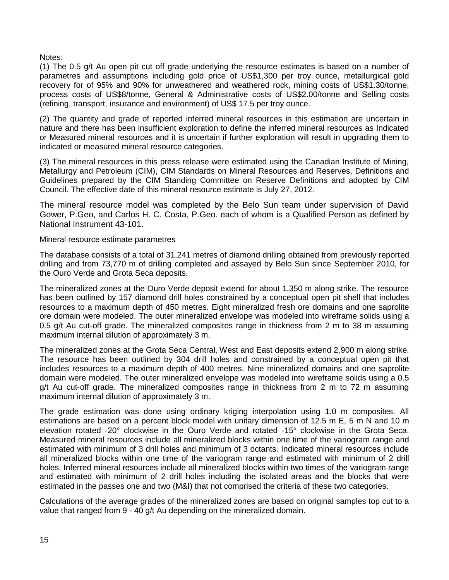Notes:

(1) The 0.5 g/t Au open pit cut off grade underlying the resource estimates is based on a number of parametres and assumptions including gold price of US\$1,300 per troy ounce, metallurgical gold recovery for of 95% and 90% for unweathered and weathered rock, mining costs of US\$1.30/tonne, process costs of US\$8/tonne, General & Administrative costs of US\$2.00/tonne and Selling costs (refining, transport, insurance and environment) of US\$ 17.5 per troy ounce.

(2) The quantity and grade of reported inferred mineral resources in this estimation are uncertain in nature and there has been insufficient exploration to define the inferred mineral resources as Indicated or Measured mineral resources and it is uncertain if further exploration will result in upgrading them to indicated or measured mineral resource categories.

(3) The mineral resources in this press release were estimated using the Canadian Institute of Mining, Metallurgy and Petroleum (CIM), CIM Standards on Mineral Resources and Reserves, Definitions and Guidelines prepared by the CIM Standing Committee on Reserve Definitions and adopted by CIM Council. The effective date of this mineral resource estimate is July 27, 2012.

The mineral resource model was completed by the Belo Sun team under supervision of David Gower, P.Geo, and Carlos H. C. Costa, P.Geo. each of whom is a Qualified Person as defined by National Instrument 43-101.

Mineral resource estimate parametres

The database consists of a total of 31,241 metres of diamond drilling obtained from previously reported drilling and from 73,770 m of drilling completed and assayed by Belo Sun since September 2010, for the Ouro Verde and Grota Seca deposits.

The mineralized zones at the Ouro Verde deposit extend for about 1,350 m along strike. The resource has been outlined by 157 diamond drill holes constrained by a conceptual open pit shell that includes resources to a maximum depth of 450 metres. Eight mineralized fresh ore domains and one saprolite ore domain were modeled. The outer mineralized envelope was modeled into wireframe solids using a 0.5 g/t Au cut-off grade. The mineralized composites range in thickness from 2 m to 38 m assuming maximum internal dilution of approximately 3 m.

The mineralized zones at the Grota Seca Central, West and East deposits extend 2,900 m along strike. The resource has been outlined by 304 drill holes and constrained by a conceptual open pit that includes resources to a maximum depth of 400 metres. Nine mineralized domains and one saprolite domain were modeled. The outer mineralized envelope was modeled into wireframe solids using a 0.5  $q/t$  Au cut-off grade. The mineralized composites range in thickness from 2 m to 72 m assuming maximum internal dilution of approximately 3 m.

The grade estimation was done using ordinary kriging interpolation using 1.0 m composites. All estimations are based on a percent block model with unitary dimension of 12.5 m E, 5 m N and 10 m elevation rotated ‐20° clockwise in the Ouro Verde and rotated ‐15° clockwise in the Grota Seca. Measured mineral resources include all mineralized blocks within one time of the variogram range and estimated with minimum of 3 drill holes and minimum of 3 octants. Indicated mineral resources include all mineralized blocks within one time of the variogram range and estimated with minimum of 2 drill holes. Inferred mineral resources include all mineralized blocks within two times of the variogram range and estimated with minimum of 2 drill holes including the isolated areas and the blocks that were estimated in the passes one and two (M&I) that not comprised the criteria of these two categories.

Calculations of the average grades of the mineralized zones are based on original samples top cut to a value that ranged from 9 - 40 g/t Au depending on the mineralized domain.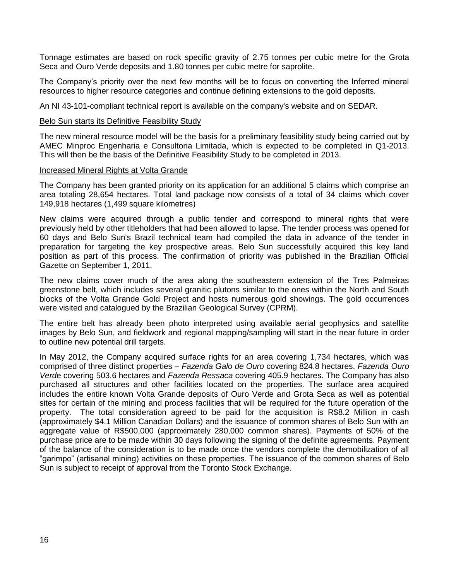Tonnage estimates are based on rock specific gravity of 2.75 tonnes per cubic metre for the Grota Seca and Ouro Verde deposits and 1.80 tonnes per cubic metre for saprolite.

The Company's priority over the next few months will be to focus on converting the Inferred mineral resources to higher resource categories and continue defining extensions to the gold deposits.

An NI 43-101-compliant technical report is available on the company's website and on SEDAR.

#### **Belo Sun starts its Definitive Feasibility Study**

The new mineral resource model will be the basis for a preliminary feasibility study being carried out by AMEC Minproc Engenharia e Consultoria Limitada, which is expected to be completed in Q1-2013. This will then be the basis of the Definitive Feasibility Study to be completed in 2013.

#### Increased Mineral Rights at Volta Grande

The Company has been granted priority on its application for an additional 5 claims which comprise an area totaling 28,654 hectares. Total land package now consists of a total of 34 claims which cover 149,918 hectares (1,499 square kilometres)

New claims were acquired through a public tender and correspond to mineral rights that were previously held by other titleholders that had been allowed to lapse. The tender process was opened for 60 days and Belo Sun's Brazil technical team had compiled the data in advance of the tender in preparation for targeting the key prospective areas. Belo Sun successfully acquired this key land position as part of this process. The confirmation of priority was published in the Brazilian Official Gazette on September 1, 2011.

The new claims cover much of the area along the southeastern extension of the Tres Palmeiras greenstone belt, which includes several granitic plutons similar to the ones within the North and South blocks of the Volta Grande Gold Project and hosts numerous gold showings. The gold occurrences were visited and catalogued by the Brazilian Geological Survey (CPRM).

The entire belt has already been photo interpreted using available aerial geophysics and satellite images by Belo Sun, and fieldwork and regional mapping/sampling will start in the near future in order to outline new potential drill targets.

In May 2012, the Company acquired surface rights for an area covering 1,734 hectares, which was comprised of three distinct properties – *Fazenda Galo de Ouro* covering 824.8 hectares, *Fazenda Ouro Verd*e covering 503.6 hectares and *Fazenda Ressaca* covering 405.9 hectares. The Company has also purchased all structures and other facilities located on the properties. The surface area acquired includes the entire known Volta Grande deposits of Ouro Verde and Grota Seca as well as potential sites for certain of the mining and process facilities that will be required for the future operation of the property. The total consideration agreed to be paid for the acquisition is R\$8.2 Million in cash (approximately \$4.1 Million Canadian Dollars) and the issuance of common shares of Belo Sun with an aggregate value of R\$500,000 (approximately 280,000 common shares). Payments of 50% of the purchase price are to be made within 30 days following the signing of the definite agreements. Payment of the balance of the consideration is to be made once the vendors complete the demobilization of all "garimpo" (artisanal mining) activities on these properties. The issuance of the common shares of Belo Sun is subject to receipt of approval from the Toronto Stock Exchange.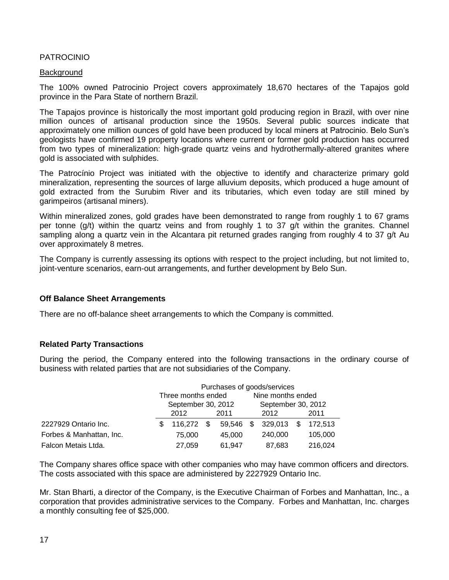# PATROCINIO

#### **Background**

The 100% owned Patrocinio Project covers approximately 18,670 hectares of the Tapajos gold province in the Para State of northern Brazil.

The Tapajos province is historically the most important gold producing region in Brazil, with over nine million ounces of artisanal production since the 1950s. Several public sources indicate that approximately one million ounces of gold have been produced by local miners at Patrocinio. Belo Sun's geologists have confirmed 19 property locations where current or former gold production has occurred from two types of mineralization: high-grade quartz veins and hydrothermally-altered granites where gold is associated with sulphides.

The Patrocínio Project was initiated with the objective to identify and characterize primary gold mineralization, representing the sources of large alluvium deposits, which produced a huge amount of gold extracted from the Surubim River and its tributaries, which even today are still mined by garimpeiros (artisanal miners).

Within mineralized zones, gold grades have been demonstrated to range from roughly 1 to 67 grams per tonne (g/t) within the quartz veins and from roughly 1 to 37 g/t within the granites. Channel sampling along a quartz vein in the Alcantara pit returned grades ranging from roughly 4 to 37 g/t Au over approximately 8 metres.

The Company is currently assessing its options with respect to the project including, but not limited to, joint-venture scenarios, earn-out arrangements, and further development by Belo Sun.

#### **Off Balance Sheet Arrangements**

There are no off-balance sheet arrangements to which the Company is committed.

#### **Related Party Transactions**

During the period, the Company entered into the following transactions in the ordinary course of business with related parties that are not subsidiaries of the Company.

|                          | Purchases of goods/services |                    |               |           |                    |                   |  |         |  |
|--------------------------|-----------------------------|--------------------|---------------|-----------|--------------------|-------------------|--|---------|--|
|                          |                             | Three months ended |               |           |                    | Nine months ended |  |         |  |
|                          | September 30, 2012          |                    |               |           | September 30, 2012 |                   |  |         |  |
|                          |                             | 2012<br>2011       |               |           | 2012               |                   |  | 2011    |  |
| 2227929 Ontario Inc.     | \$.                         | 116.272            | $\mathcal{S}$ | 59,546 \$ |                    | 329,013 \$        |  | 172,513 |  |
| Forbes & Manhattan, Inc. |                             | 75,000             |               | 45,000    |                    | 240,000           |  | 105,000 |  |
| Falcon Metais Ltda.      |                             | 27,059             |               | 61,947    |                    | 87,683            |  | 216,024 |  |

The Company shares office space with other companies who may have common officers and directors. The costs associated with this space are administered by 2227929 Ontario Inc.

Mr. Stan Bharti, a director of the Company, is the Executive Chairman of Forbes and Manhattan, Inc., a corporation that provides administrative services to the Company. Forbes and Manhattan, Inc. charges a monthly consulting fee of \$25,000.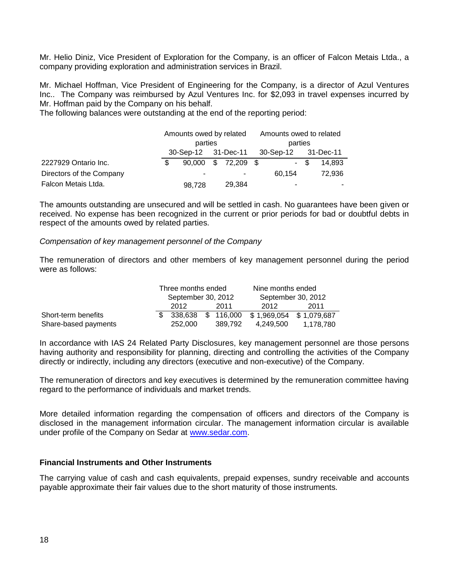Mr. Helio Diniz, Vice President of Exploration for the Company, is an officer of Falcon Metais Ltda., a company providing exploration and administration services in Brazil.

Mr. Michael Hoffman, Vice President of Engineering for the Company, is a director of Azul Ventures Inc.. The Company was reimbursed by Azul Ventures Inc. for \$2,093 in travel expenses incurred by Mr. Hoffman paid by the Company on his behalf.

The following balances were outstanding at the end of the reporting period:

|                          | Amounts owed by related<br>parties |  | Amounts owed to related<br>parties |        |      |        |
|--------------------------|------------------------------------|--|------------------------------------|--------|------|--------|
|                          | 30-Sep-12 31-Dec-11                |  | 30-Sep-12 31-Dec-11                |        |      |        |
| 2227929 Ontario Inc.     |                                    |  | 90,000 \$ 72,209 \$                |        | - \$ | 14.893 |
| Directors of the Company |                                    |  | ۰                                  | 60.154 |      | 72,936 |
| Falcon Metais Ltda.      | 98,728                             |  | 29,384                             | ۰      |      |        |

The amounts outstanding are unsecured and will be settled in cash. No guarantees have been given or received. No expense has been recognized in the current or prior periods for bad or doubtful debts in respect of the amounts owed by related parties.

#### *Compensation of key management personnel of the Company*

The remuneration of directors and other members of key management personnel during the period were as follows:

|                      | Three months ended |  |         | Nine months ended                    |           |  |
|----------------------|--------------------|--|---------|--------------------------------------|-----------|--|
|                      | September 30, 2012 |  |         | September 30, 2012                   |           |  |
|                      | 2012               |  | 2011    | 2012                                 | 2011      |  |
| Short-term benefits  | 338.638            |  |         | \$ 116,000 \$ 1,969,054 \$ 1,079,687 |           |  |
| Share-based payments | 252,000            |  | 389.792 | 4.249.500                            | 1.178.780 |  |

In accordance with IAS 24 Related Party Disclosures, key management personnel are those persons having authority and responsibility for planning, directing and controlling the activities of the Company directly or indirectly, including any directors (executive and non-executive) of the Company.

The remuneration of directors and key executives is determined by the remuneration committee having regard to the performance of individuals and market trends.

More detailed information regarding the compensation of officers and directors of the Company is disclosed in the management information circular. The management information circular is available under profile of the Company on Sedar at [www.sedar.com.](http://www.sedar.com/)

#### **Financial Instruments and Other Instruments**

The carrying value of cash and cash equivalents, prepaid expenses, sundry receivable and accounts payable approximate their fair values due to the short maturity of those instruments.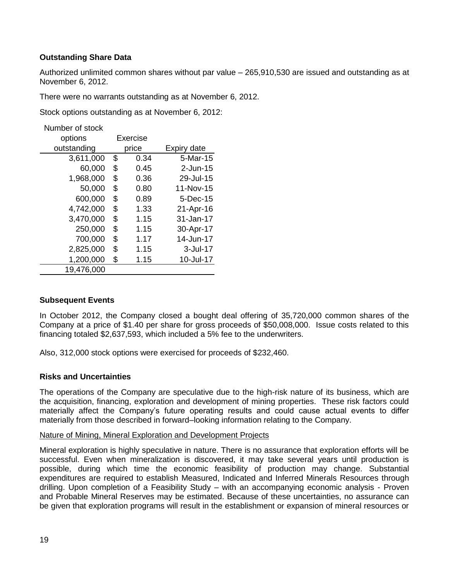# **Outstanding Share Data**

Authorized unlimited common shares without par value – 265,910,530 are issued and outstanding as at November 6, 2012.

There were no warrants outstanding as at November 6, 2012.

Stock options outstanding as at November 6, 2012:

Number of stock

| options     | <b>Exercise</b> |       |             |
|-------------|-----------------|-------|-------------|
| outstanding |                 | price | Expiry date |
| 3,611,000   | \$              | 0.34  | 5-Mar-15    |
| 60,000      | \$              | 0.45  | $2$ -Jun-15 |
| 1,968,000   | \$              | 0.36  | 29-Jul-15   |
| 50,000      | \$              | 0.80  | 11-Nov-15   |
| 600,000     | \$              | 0.89  | 5-Dec-15    |
| 4,742,000   | \$              | 1.33  | 21-Apr-16   |
| 3,470,000   | \$              | 1.15  | 31-Jan-17   |
| 250,000     | \$              | 1.15  | 30-Apr-17   |
| 700,000     | \$              | 1.17  | 14-Jun-17   |
| 2,825,000   | \$              | 1.15  | 3-Jul-17    |
| 1,200,000   | \$              | 1.15  | 10-Jul-17   |
| 19,476,000  |                 |       |             |

#### **Subsequent Events**

In October 2012, the Company closed a bought deal offering of 35,720,000 common shares of the Company at a price of \$1.40 per share for gross proceeds of \$50,008,000. Issue costs related to this financing totaled \$2,637,593, which included a 5% fee to the underwriters.

Also, 312,000 stock options were exercised for proceeds of \$232,460.

#### **Risks and Uncertainties**

The operations of the Company are speculative due to the high-risk nature of its business, which are the acquisition, financing, exploration and development of mining properties. These risk factors could materially affect the Company's future operating results and could cause actual events to differ materially from those described in forward–looking information relating to the Company.

#### Nature of Mining, Mineral Exploration and Development Projects

Mineral exploration is highly speculative in nature. There is no assurance that exploration efforts will be successful. Even when mineralization is discovered, it may take several years until production is possible, during which time the economic feasibility of production may change. Substantial expenditures are required to establish Measured, Indicated and Inferred Minerals Resources through drilling. Upon completion of a Feasibility Study – with an accompanying economic analysis - Proven and Probable Mineral Reserves may be estimated. Because of these uncertainties, no assurance can be given that exploration programs will result in the establishment or expansion of mineral resources or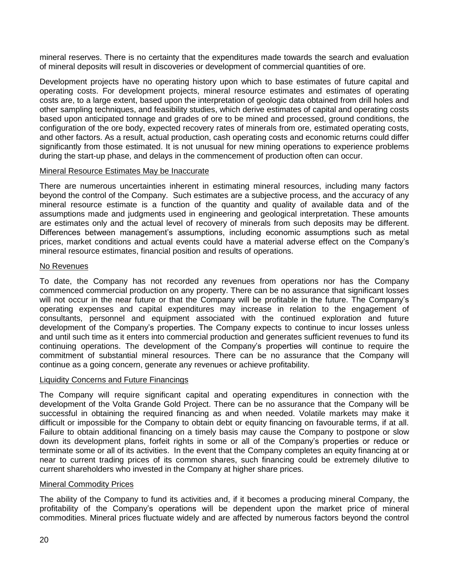mineral reserves. There is no certainty that the expenditures made towards the search and evaluation of mineral deposits will result in discoveries or development of commercial quantities of ore.

Development projects have no operating history upon which to base estimates of future capital and operating costs. For development projects, mineral resource estimates and estimates of operating costs are, to a large extent, based upon the interpretation of geologic data obtained from drill holes and other sampling techniques, and feasibility studies, which derive estimates of capital and operating costs based upon anticipated tonnage and grades of ore to be mined and processed, ground conditions, the configuration of the ore body, expected recovery rates of minerals from ore, estimated operating costs, and other factors. As a result, actual production, cash operating costs and economic returns could differ significantly from those estimated. It is not unusual for new mining operations to experience problems during the start-up phase, and delays in the commencement of production often can occur.

## Mineral Resource Estimates May be Inaccurate

There are numerous uncertainties inherent in estimating mineral resources, including many factors beyond the control of the Company. Such estimates are a subjective process, and the accuracy of any mineral resource estimate is a function of the quantity and quality of available data and of the assumptions made and judgments used in engineering and geological interpretation. These amounts are estimates only and the actual level of recovery of minerals from such deposits may be different. Differences between management's assumptions, including economic assumptions such as metal prices, market conditions and actual events could have a material adverse effect on the Company's mineral resource estimates, financial position and results of operations.

#### No Revenues

To date, the Company has not recorded any revenues from operations nor has the Company commenced commercial production on any property. There can be no assurance that significant losses will not occur in the near future or that the Company will be profitable in the future. The Company's operating expenses and capital expenditures may increase in relation to the engagement of consultants, personnel and equipment associated with the continued exploration and future development of the Company's properties. The Company expects to continue to incur losses unless and until such time as it enters into commercial production and generates sufficient revenues to fund its continuing operations. The development of the Company's properties will continue to require the commitment of substantial mineral resources. There can be no assurance that the Company will continue as a going concern, generate any revenues or achieve profitability.

#### Liquidity Concerns and Future Financings

The Company will require significant capital and operating expenditures in connection with the development of the Volta Grande Gold Project. There can be no assurance that the Company will be successful in obtaining the required financing as and when needed. Volatile markets may make it difficult or impossible for the Company to obtain debt or equity financing on favourable terms, if at all. Failure to obtain additional financing on a timely basis may cause the Company to postpone or slow down its development plans, forfeit rights in some or all of the Company's properties or reduce or terminate some or all of its activities. In the event that the Company completes an equity financing at or near to current trading prices of its common shares, such financing could be extremely dilutive to current shareholders who invested in the Company at higher share prices.

#### Mineral Commodity Prices

The ability of the Company to fund its activities and, if it becomes a producing mineral Company, the profitability of the Company's operations will be dependent upon the market price of mineral commodities. Mineral prices fluctuate widely and are affected by numerous factors beyond the control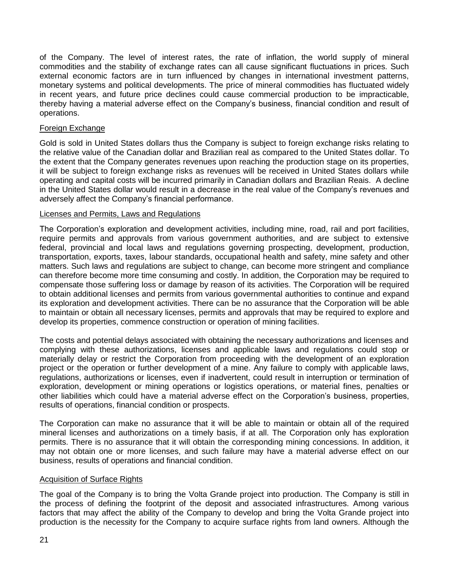of the Company. The level of interest rates, the rate of inflation, the world supply of mineral commodities and the stability of exchange rates can all cause significant fluctuations in prices. Such external economic factors are in turn influenced by changes in international investment patterns, monetary systems and political developments. The price of mineral commodities has fluctuated widely in recent years, and future price declines could cause commercial production to be impracticable, thereby having a material adverse effect on the Company's business, financial condition and result of operations.

## Foreign Exchange

Gold is sold in United States dollars thus the Company is subject to foreign exchange risks relating to the relative value of the Canadian dollar and Brazilian real as compared to the United States dollar. To the extent that the Company generates revenues upon reaching the production stage on its properties, it will be subject to foreign exchange risks as revenues will be received in United States dollars while operating and capital costs will be incurred primarily in Canadian dollars and Brazilian Reais. A decline in the United States dollar would result in a decrease in the real value of the Company's revenues and adversely affect the Company's financial performance.

## Licenses and Permits, Laws and Regulations

The Corporation's exploration and development activities, including mine, road, rail and port facilities, require permits and approvals from various government authorities, and are subject to extensive federal, provincial and local laws and regulations governing prospecting, development, production, transportation, exports, taxes, labour standards, occupational health and safety, mine safety and other matters. Such laws and regulations are subject to change, can become more stringent and compliance can therefore become more time consuming and costly. In addition, the Corporation may be required to compensate those suffering loss or damage by reason of its activities. The Corporation will be required to obtain additional licenses and permits from various governmental authorities to continue and expand its exploration and development activities. There can be no assurance that the Corporation will be able to maintain or obtain all necessary licenses, permits and approvals that may be required to explore and develop its properties, commence construction or operation of mining facilities.

The costs and potential delays associated with obtaining the necessary authorizations and licenses and complying with these authorizations, licenses and applicable laws and regulations could stop or materially delay or restrict the Corporation from proceeding with the development of an exploration project or the operation or further development of a mine. Any failure to comply with applicable laws, regulations, authorizations or licenses, even if inadvertent, could result in interruption or termination of exploration, development or mining operations or logistics operations, or material fines, penalties or other liabilities which could have a material adverse effect on the Corporation's business, properties, results of operations, financial condition or prospects.

The Corporation can make no assurance that it will be able to maintain or obtain all of the required mineral licenses and authorizations on a timely basis, if at all. The Corporation only has exploration permits. There is no assurance that it will obtain the corresponding mining concessions. In addition, it may not obtain one or more licenses, and such failure may have a material adverse effect on our business, results of operations and financial condition.

#### Acquisition of Surface Rights

The goal of the Company is to bring the Volta Grande project into production. The Company is still in the process of defining the footprint of the deposit and associated infrastructures. Among various factors that may affect the ability of the Company to develop and bring the Volta Grande project into production is the necessity for the Company to acquire surface rights from land owners. Although the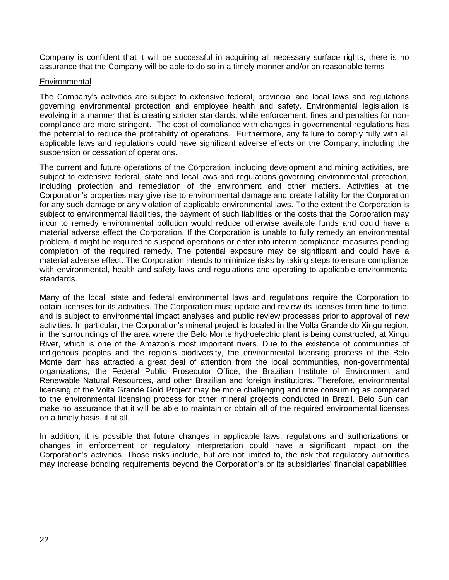Company is confident that it will be successful in acquiring all necessary surface rights, there is no assurance that the Company will be able to do so in a timely manner and/or on reasonable terms.

## **Environmental**

The Company's activities are subject to extensive federal, provincial and local laws and regulations governing environmental protection and employee health and safety. Environmental legislation is evolving in a manner that is creating stricter standards, while enforcement, fines and penalties for noncompliance are more stringent. The cost of compliance with changes in governmental regulations has the potential to reduce the profitability of operations. Furthermore, any failure to comply fully with all applicable laws and regulations could have significant adverse effects on the Company, including the suspension or cessation of operations.

The current and future operations of the Corporation, including development and mining activities, are subject to extensive federal, state and local laws and regulations governing environmental protection, including protection and remediation of the environment and other matters. Activities at the Corporation's properties may give rise to environmental damage and create liability for the Corporation for any such damage or any violation of applicable environmental laws. To the extent the Corporation is subject to environmental liabilities, the payment of such liabilities or the costs that the Corporation may incur to remedy environmental pollution would reduce otherwise available funds and could have a material adverse effect the Corporation. If the Corporation is unable to fully remedy an environmental problem, it might be required to suspend operations or enter into interim compliance measures pending completion of the required remedy. The potential exposure may be significant and could have a material adverse effect. The Corporation intends to minimize risks by taking steps to ensure compliance with environmental, health and safety laws and regulations and operating to applicable environmental standards.

Many of the local, state and federal environmental laws and regulations require the Corporation to obtain licenses for its activities. The Corporation must update and review its licenses from time to time, and is subject to environmental impact analyses and public review processes prior to approval of new activities. In particular, the Corporation's mineral project is located in the Volta Grande do Xingu region, in the surroundings of the area where the Belo Monte hydroelectric plant is being constructed, at Xingu River, which is one of the Amazon's most important rivers. Due to the existence of communities of indigenous peoples and the region's biodiversity, the environmental licensing process of the Belo Monte dam has attracted a great deal of attention from the local communities, non-governmental organizations, the Federal Public Prosecutor Office, the Brazilian Institute of Environment and Renewable Natural Resources, and other Brazilian and foreign institutions. Therefore, environmental licensing of the Volta Grande Gold Project may be more challenging and time consuming as compared to the environmental licensing process for other mineral projects conducted in Brazil. Belo Sun can make no assurance that it will be able to maintain or obtain all of the required environmental licenses on a timely basis, if at all.

In addition, it is possible that future changes in applicable laws, regulations and authorizations or changes in enforcement or regulatory interpretation could have a significant impact on the Corporation's activities. Those risks include, but are not limited to, the risk that regulatory authorities may increase bonding requirements beyond the Corporation's or its subsidiaries' financial capabilities.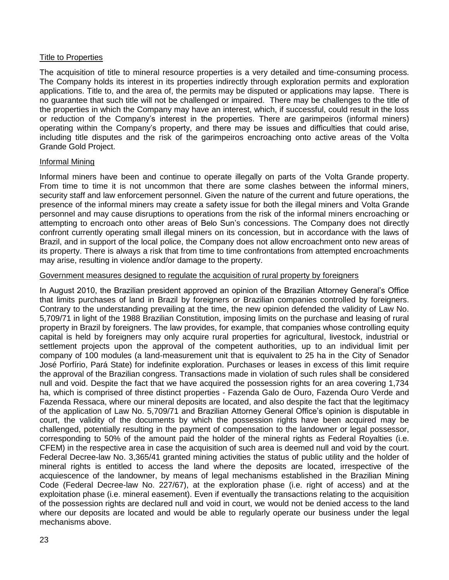## Title to Properties

The acquisition of title to mineral resource properties is a very detailed and time-consuming process. The Company holds its interest in its properties indirectly through exploration permits and exploration applications. Title to, and the area of, the permits may be disputed or applications may lapse. There is no guarantee that such title will not be challenged or impaired. There may be challenges to the title of the properties in which the Company may have an interest, which, if successful, could result in the loss or reduction of the Company's interest in the properties. There are garimpeiros (informal miners) operating within the Company's property, and there may be issues and difficulties that could arise, including title disputes and the risk of the garimpeiros encroaching onto active areas of the Volta Grande Gold Project.

#### Informal Mining

Informal miners have been and continue to operate illegally on parts of the Volta Grande property. From time to time it is not uncommon that there are some clashes between the informal miners, security staff and law enforcement personnel. Given the nature of the current and future operations, the presence of the informal miners may create a safety issue for both the illegal miners and Volta Grande personnel and may cause disruptions to operations from the risk of the informal miners encroaching or attempting to encroach onto other areas of Belo Sun's concessions. The Company does not directly confront currently operating small illegal miners on its concession, but in accordance with the laws of Brazil, and in support of the local police, the Company does not allow encroachment onto new areas of its property. There is always a risk that from time to time confrontations from attempted encroachments may arise, resulting in violence and/or damage to the property.

## Government measures designed to regulate the acquisition of rural property by foreigners

In August 2010, the Brazilian president approved an opinion of the Brazilian Attorney General's Office that limits purchases of land in Brazil by foreigners or Brazilian companies controlled by foreigners. Contrary to the understanding prevailing at the time, the new opinion defended the validity of Law No. 5,709/71 in light of the 1988 Brazilian Constitution, imposing limits on the purchase and leasing of rural property in Brazil by foreigners. The law provides, for example, that companies whose controlling equity capital is held by foreigners may only acquire rural properties for agricultural, livestock, industrial or settlement projects upon the approval of the competent authorities, up to an individual limit per company of 100 modules (a land-measurement unit that is equivalent to 25 ha in the City of Senador José Porfírio, Pará State) for indefinite exploration. Purchases or leases in excess of this limit require the approval of the Brazilian congress. Transactions made in violation of such rules shall be considered null and void. Despite the fact that we have acquired the possession rights for an area covering 1,734 ha, which is comprised of three distinct properties - Fazenda Galo de Ouro, Fazenda Ouro Verde and Fazenda Ressaca, where our mineral deposits are located, and also despite the fact that the legitimacy of the application of Law No. 5,709/71 and Brazilian Attorney General Office's opinion is disputable in court, the validity of the documents by which the possession rights have been acquired may be challenged, potentially resulting in the payment of compensation to the landowner or legal possessor, corresponding to 50% of the amount paid the holder of the mineral rights as Federal Royalties (i.e. CFEM) in the respective area in case the acquisition of such area is deemed null and void by the court. Federal Decree-law No. 3,365/41 granted mining activities the status of public utility and the holder of mineral rights is entitled to access the land where the deposits are located, irrespective of the acquiescence of the landowner, by means of legal mechanisms established in the Brazilian Mining Code (Federal Decree-law No. 227/67), at the exploration phase (i.e. right of access) and at the exploitation phase (i.e. mineral easement). Even if eventually the transactions relating to the acquisition of the possession rights are declared null and void in court, we would not be denied access to the land where our deposits are located and would be able to regularly operate our business under the legal mechanisms above.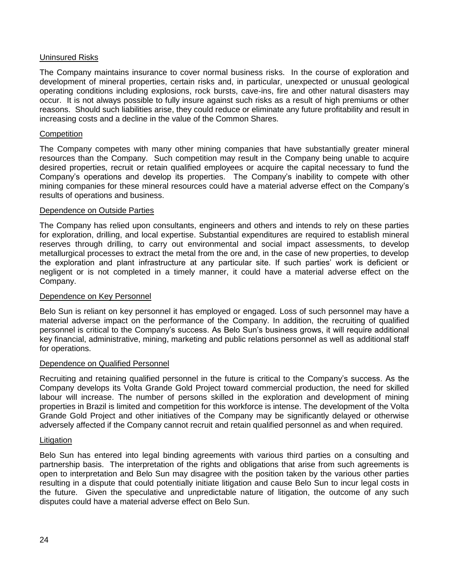# Uninsured Risks

The Company maintains insurance to cover normal business risks. In the course of exploration and development of mineral properties, certain risks and, in particular, unexpected or unusual geological operating conditions including explosions, rock bursts, cave-ins, fire and other natural disasters may occur. It is not always possible to fully insure against such risks as a result of high premiums or other reasons. Should such liabilities arise, they could reduce or eliminate any future profitability and result in increasing costs and a decline in the value of the Common Shares.

#### **Competition**

The Company competes with many other mining companies that have substantially greater mineral resources than the Company. Such competition may result in the Company being unable to acquire desired properties, recruit or retain qualified employees or acquire the capital necessary to fund the Company's operations and develop its properties. The Company's inability to compete with other mining companies for these mineral resources could have a material adverse effect on the Company's results of operations and business.

## Dependence on Outside Parties

The Company has relied upon consultants, engineers and others and intends to rely on these parties for exploration, drilling, and local expertise. Substantial expenditures are required to establish mineral reserves through drilling, to carry out environmental and social impact assessments, to develop metallurgical processes to extract the metal from the ore and, in the case of new properties, to develop the exploration and plant infrastructure at any particular site. If such parties' work is deficient or negligent or is not completed in a timely manner, it could have a material adverse effect on the Company.

#### Dependence on Key Personnel

Belo Sun is reliant on key personnel it has employed or engaged. Loss of such personnel may have a material adverse impact on the performance of the Company. In addition, the recruiting of qualified personnel is critical to the Company's success. As Belo Sun's business grows, it will require additional key financial, administrative, mining, marketing and public relations personnel as well as additional staff for operations.

#### Dependence on Qualified Personnel

Recruiting and retaining qualified personnel in the future is critical to the Company's success. As the Company develops its Volta Grande Gold Project toward commercial production, the need for skilled labour will increase. The number of persons skilled in the exploration and development of mining properties in Brazil is limited and competition for this workforce is intense. The development of the Volta Grande Gold Project and other initiatives of the Company may be significantly delayed or otherwise adversely affected if the Company cannot recruit and retain qualified personnel as and when required.

#### **Litigation**

Belo Sun has entered into legal binding agreements with various third parties on a consulting and partnership basis. The interpretation of the rights and obligations that arise from such agreements is open to interpretation and Belo Sun may disagree with the position taken by the various other parties resulting in a dispute that could potentially initiate litigation and cause Belo Sun to incur legal costs in the future. Given the speculative and unpredictable nature of litigation, the outcome of any such disputes could have a material adverse effect on Belo Sun.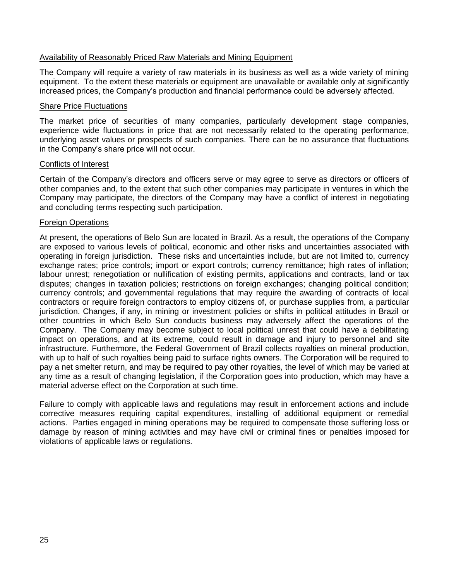## Availability of Reasonably Priced Raw Materials and Mining Equipment

The Company will require a variety of raw materials in its business as well as a wide variety of mining equipment. To the extent these materials or equipment are unavailable or available only at significantly increased prices, the Company's production and financial performance could be adversely affected.

#### Share Price Fluctuations

The market price of securities of many companies, particularly development stage companies, experience wide fluctuations in price that are not necessarily related to the operating performance, underlying asset values or prospects of such companies. There can be no assurance that fluctuations in the Company's share price will not occur.

#### Conflicts of Interest

Certain of the Company's directors and officers serve or may agree to serve as directors or officers of other companies and, to the extent that such other companies may participate in ventures in which the Company may participate, the directors of the Company may have a conflict of interest in negotiating and concluding terms respecting such participation.

## **Foreign Operations**

At present, the operations of Belo Sun are located in Brazil. As a result, the operations of the Company are exposed to various levels of political, economic and other risks and uncertainties associated with operating in foreign jurisdiction. These risks and uncertainties include, but are not limited to, currency exchange rates; price controls; import or export controls; currency remittance; high rates of inflation; labour unrest; renegotiation or nullification of existing permits, applications and contracts, land or tax disputes; changes in taxation policies; restrictions on foreign exchanges; changing political condition; currency controls; and governmental regulations that may require the awarding of contracts of local contractors or require foreign contractors to employ citizens of, or purchase supplies from, a particular jurisdiction. Changes, if any, in mining or investment policies or shifts in political attitudes in Brazil or other countries in which Belo Sun conducts business may adversely affect the operations of the Company. The Company may become subject to local political unrest that could have a debilitating impact on operations, and at its extreme, could result in damage and injury to personnel and site infrastructure. Furthermore, the Federal Government of Brazil collects royalties on mineral production, with up to half of such royalties being paid to surface rights owners. The Corporation will be required to pay a net smelter return, and may be required to pay other royalties, the level of which may be varied at any time as a result of changing legislation, if the Corporation goes into production, which may have a material adverse effect on the Corporation at such time.

Failure to comply with applicable laws and regulations may result in enforcement actions and include corrective measures requiring capital expenditures, installing of additional equipment or remedial actions. Parties engaged in mining operations may be required to compensate those suffering loss or damage by reason of mining activities and may have civil or criminal fines or penalties imposed for violations of applicable laws or regulations.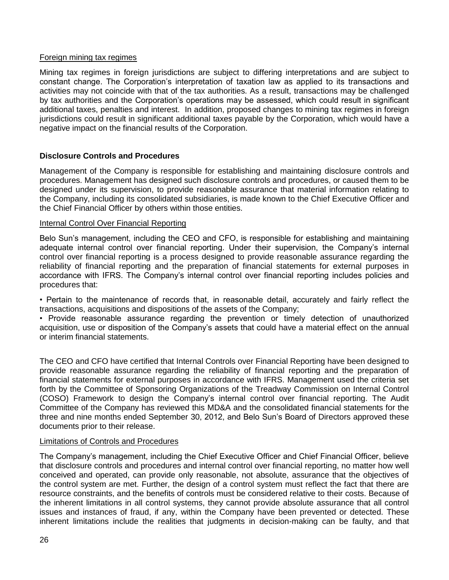## Foreign mining tax regimes

Mining tax regimes in foreign jurisdictions are subject to differing interpretations and are subject to constant change. The Corporation's interpretation of taxation law as applied to its transactions and activities may not coincide with that of the tax authorities. As a result, transactions may be challenged by tax authorities and the Corporation's operations may be assessed, which could result in significant additional taxes, penalties and interest. In addition, proposed changes to mining tax regimes in foreign jurisdictions could result in significant additional taxes payable by the Corporation, which would have a negative impact on the financial results of the Corporation.

# **Disclosure Controls and Procedures**

Management of the Company is responsible for establishing and maintaining disclosure controls and procedures. Management has designed such disclosure controls and procedures, or caused them to be designed under its supervision, to provide reasonable assurance that material information relating to the Company, including its consolidated subsidiaries, is made known to the Chief Executive Officer and the Chief Financial Officer by others within those entities.

## Internal Control Over Financial Reporting

Belo Sun's management, including the CEO and CFO, is responsible for establishing and maintaining adequate internal control over financial reporting. Under their supervision, the Company's internal control over financial reporting is a process designed to provide reasonable assurance regarding the reliability of financial reporting and the preparation of financial statements for external purposes in accordance with IFRS. The Company's internal control over financial reporting includes policies and procedures that:

• Pertain to the maintenance of records that, in reasonable detail, accurately and fairly reflect the transactions, acquisitions and dispositions of the assets of the Company;

• Provide reasonable assurance regarding the prevention or timely detection of unauthorized acquisition, use or disposition of the Company's assets that could have a material effect on the annual or interim financial statements.

The CEO and CFO have certified that Internal Controls over Financial Reporting have been designed to provide reasonable assurance regarding the reliability of financial reporting and the preparation of financial statements for external purposes in accordance with IFRS. Management used the criteria set forth by the Committee of Sponsoring Organizations of the Treadway Commission on Internal Control (COSO) Framework to design the Company's internal control over financial reporting. The Audit Committee of the Company has reviewed this MD&A and the consolidated financial statements for the three and nine months ended September 30, 2012, and Belo Sun's Board of Directors approved these documents prior to their release.

#### Limitations of Controls and Procedures

The Company's management, including the Chief Executive Officer and Chief Financial Officer, believe that disclosure controls and procedures and internal control over financial reporting, no matter how well conceived and operated, can provide only reasonable, not absolute, assurance that the objectives of the control system are met. Further, the design of a control system must reflect the fact that there are resource constraints, and the benefits of controls must be considered relative to their costs. Because of the inherent limitations in all control systems, they cannot provide absolute assurance that all control issues and instances of fraud, if any, within the Company have been prevented or detected. These inherent limitations include the realities that judgments in decision-making can be faulty, and that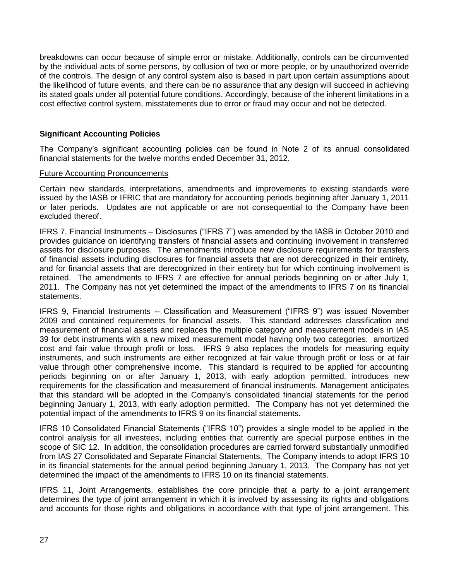breakdowns can occur because of simple error or mistake. Additionally, controls can be circumvented by the individual acts of some persons, by collusion of two or more people, or by unauthorized override of the controls. The design of any control system also is based in part upon certain assumptions about the likelihood of future events, and there can be no assurance that any design will succeed in achieving its stated goals under all potential future conditions. Accordingly, because of the inherent limitations in a cost effective control system, misstatements due to error or fraud may occur and not be detected.

# **Significant Accounting Policies**

The Company's significant accounting policies can be found in Note 2 of its annual consolidated financial statements for the twelve months ended December 31, 2012.

#### Future Accounting Pronouncements

Certain new standards, interpretations, amendments and improvements to existing standards were issued by the IASB or IFRIC that are mandatory for accounting periods beginning after January 1, 2011 or later periods. Updates are not applicable or are not consequential to the Company have been excluded thereof.

IFRS 7, Financial Instruments – Disclosures ("IFRS 7") was amended by the IASB in October 2010 and provides guidance on identifying transfers of financial assets and continuing involvement in transferred assets for disclosure purposes. The amendments introduce new disclosure requirements for transfers of financial assets including disclosures for financial assets that are not derecognized in their entirety, and for financial assets that are derecognized in their entirety but for which continuing involvement is retained. The amendments to IFRS 7 are effective for annual periods beginning on or after July 1, 2011. The Company has not yet determined the impact of the amendments to IFRS 7 on its financial statements.

IFRS 9, Financial Instruments -- Classification and Measurement ("IFRS 9") was issued November 2009 and contained requirements for financial assets. This standard addresses classification and measurement of financial assets and replaces the multiple category and measurement models in IAS 39 for debt instruments with a new mixed measurement model having only two categories: amortized cost and fair value through profit or loss. IFRS 9 also replaces the models for measuring equity instruments, and such instruments are either recognized at fair value through profit or loss or at fair value through other comprehensive income. This standard is required to be applied for accounting periods beginning on or after January 1, 2013, with early adoption permitted, introduces new requirements for the classification and measurement of financial instruments. Management anticipates that this standard will be adopted in the Company's consolidated financial statements for the period beginning January 1, 2013, with early adoption permitted. The Company has not yet determined the potential impact of the amendments to IFRS 9 on its financial statements.

IFRS 10 Consolidated Financial Statements ("IFRS 10") provides a single model to be applied in the control analysis for all investees, including entities that currently are special purpose entities in the scope of SIC 12. In addition, the consolidation procedures are carried forward substantially unmodified from IAS 27 Consolidated and Separate Financial Statements. The Company intends to adopt IFRS 10 in its financial statements for the annual period beginning January 1, 2013. The Company has not yet determined the impact of the amendments to IFRS 10 on its financial statements.

IFRS 11, Joint Arrangements, establishes the core principle that a party to a joint arrangement determines the type of joint arrangement in which it is involved by assessing its rights and obligations and accounts for those rights and obligations in accordance with that type of joint arrangement. This